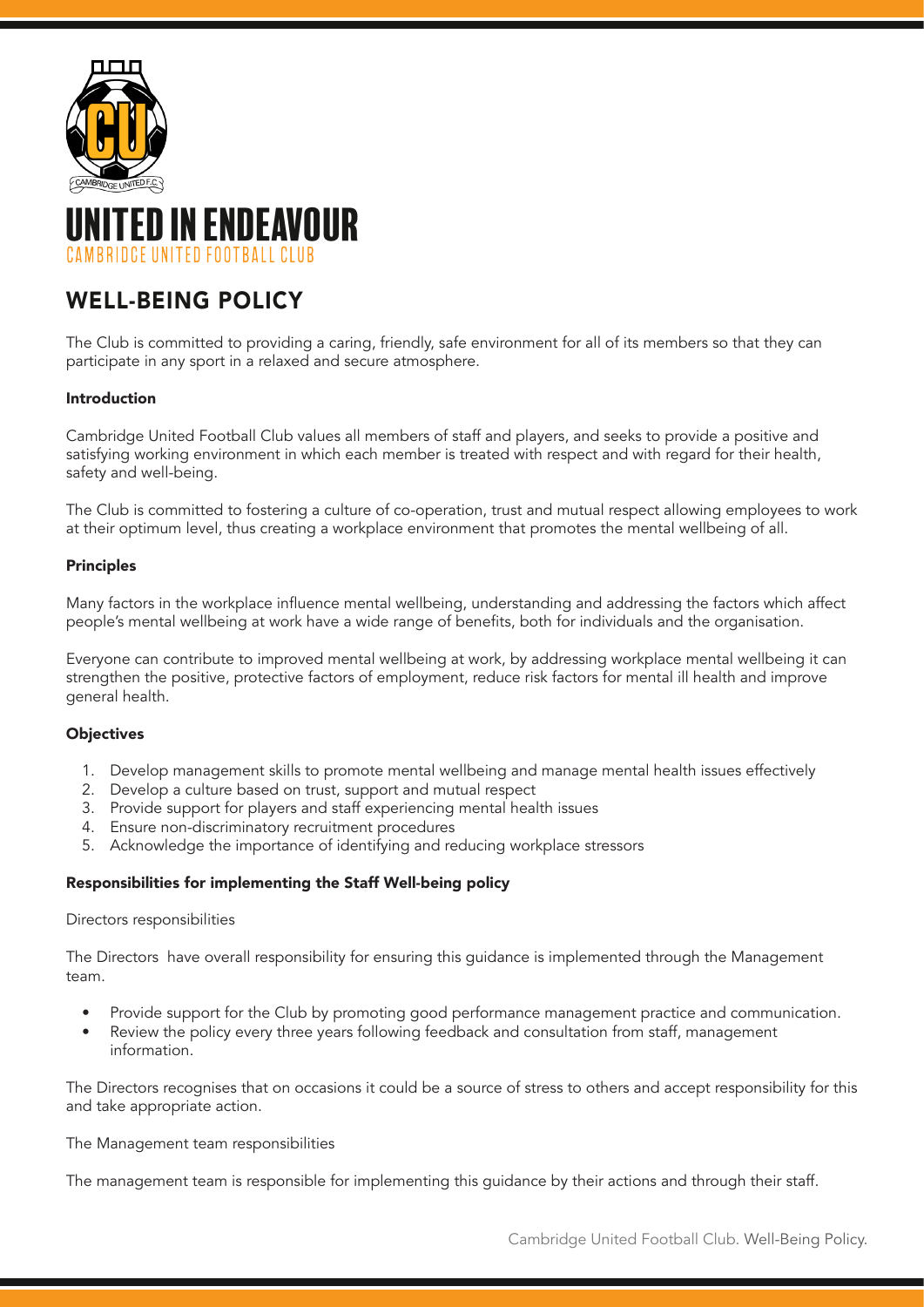



# WELL-BEING POLICY

The Club is committed to providing a caring, friendly, safe environment for all of its members so that they can participate in any sport in a relaxed and secure atmosphere.

# Introduction

Cambridge United Football Club values all members of staff and players, and seeks to provide a positive and satisfying working environment in which each member is treated with respect and with regard for their health, safety and well-being.

The Club is committed to fostering a culture of co-operation, trust and mutual respect allowing employees to work at their optimum level, thus creating a workplace environment that promotes the mental wellbeing of all.

## Principles

Many factors in the workplace influence mental wellbeing, understanding and addressing the factors which affect people's mental wellbeing at work have a wide range of benefits, both for individuals and the organisation.

Everyone can contribute to improved mental wellbeing at work, by addressing workplace mental wellbeing it can strengthen the positive, protective factors of employment, reduce risk factors for mental ill health and improve general health.

## **Objectives**

- 1. Develop management skills to promote mental wellbeing and manage mental health issues effectively
- 2. Develop a culture based on trust, support and mutual respect
- 3. Provide support for players and staff experiencing mental health issues
- 4. Ensure non-discriminatory recruitment procedures
- 5. Acknowledge the importance of identifying and reducing workplace stressors

## Responsibilities for implementing the Staff Well-being policy

## Directors responsibilities

The Directors have overall responsibility for ensuring this guidance is implemented through the Management team.

- Provide support for the Club by promoting good performance management practice and communication.
- Review the policy every three years following feedback and consultation from staff, management information.

The Directors recognises that on occasions it could be a source of stress to others and accept responsibility for this and take appropriate action.

#### The Management team responsibilities

The management team is responsible for implementing this guidance by their actions and through their staff.

Cambridge United Football Club. Well-Being Policy.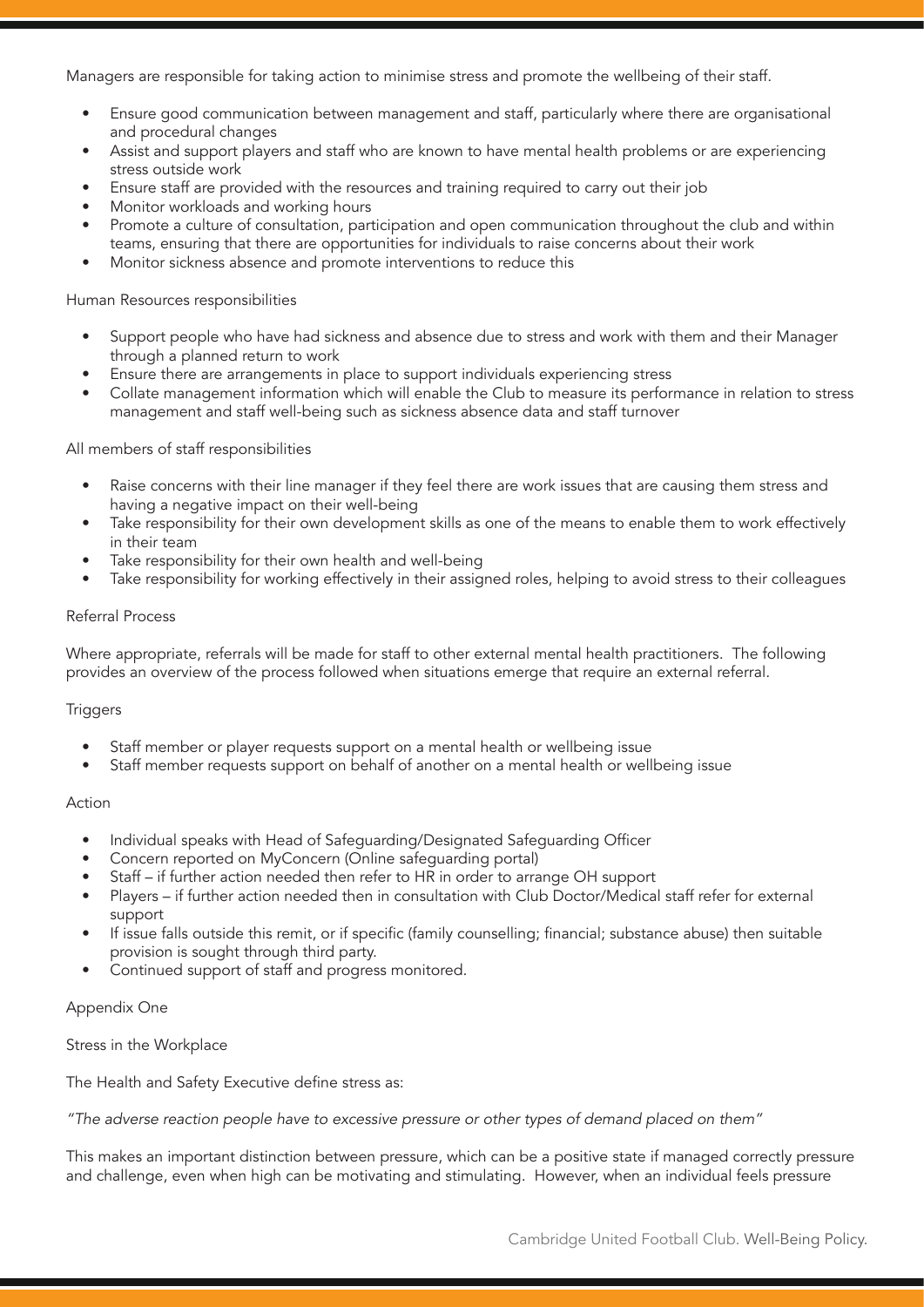Managers are responsible for taking action to minimise stress and promote the wellbeing of their staff.

- Ensure good communication between management and staff, particularly where there are organisational and procedural changes
- Assist and support players and staff who are known to have mental health problems or are experiencing stress outside work
- Ensure staff are provided with the resources and training required to carry out their job
- Monitor workloads and working hours
- Promote a culture of consultation, participation and open communication throughout the club and within teams, ensuring that there are opportunities for individuals to raise concerns about their work
- Monitor sickness absence and promote interventions to reduce this

## Human Resources responsibilities

- Support people who have had sickness and absence due to stress and work with them and their Manager through a planned return to work
- Ensure there are arrangements in place to support individuals experiencing stress
- Collate management information which will enable the Club to measure its performance in relation to stress management and staff well-being such as sickness absence data and staff turnover

## All members of staff responsibilities

- Raise concerns with their line manager if they feel there are work issues that are causing them stress and having a negative impact on their well-being
- Take responsibility for their own development skills as one of the means to enable them to work effectively in their team
- Take responsibility for their own health and well-being
- Take responsibility for working effectively in their assigned roles, helping to avoid stress to their colleagues

## Referral Process

Where appropriate, referrals will be made for staff to other external mental health practitioners. The following provides an overview of the process followed when situations emerge that require an external referral.

## **Triggers**

- Staff member or player requests support on a mental health or wellbeing issue
- Staff member requests support on behalf of another on a mental health or wellbeing issue

## Action

- Individual speaks with Head of Safeguarding/Designated Safeguarding Officer
- Concern reported on MyConcern (Online safeguarding portal)
- Staff if further action needed then refer to HR in order to arrange OH support
- Players if further action needed then in consultation with Club Doctor/Medical staff refer for external support
- If issue falls outside this remit, or if specific (family counselling; financial; substance abuse) then suitable provision is sought through third party.
- Continued support of staff and progress monitored.

#### Appendix One

Stress in the Workplace

The Health and Safety Executive define stress as:

*"The adverse reaction people have to excessive pressure or other types of demand placed on them"*

This makes an important distinction between pressure, which can be a positive state if managed correctly pressure and challenge, even when high can be motivating and stimulating. However, when an individual feels pressure

Cambridge United Football Club. Well-Being Policy.